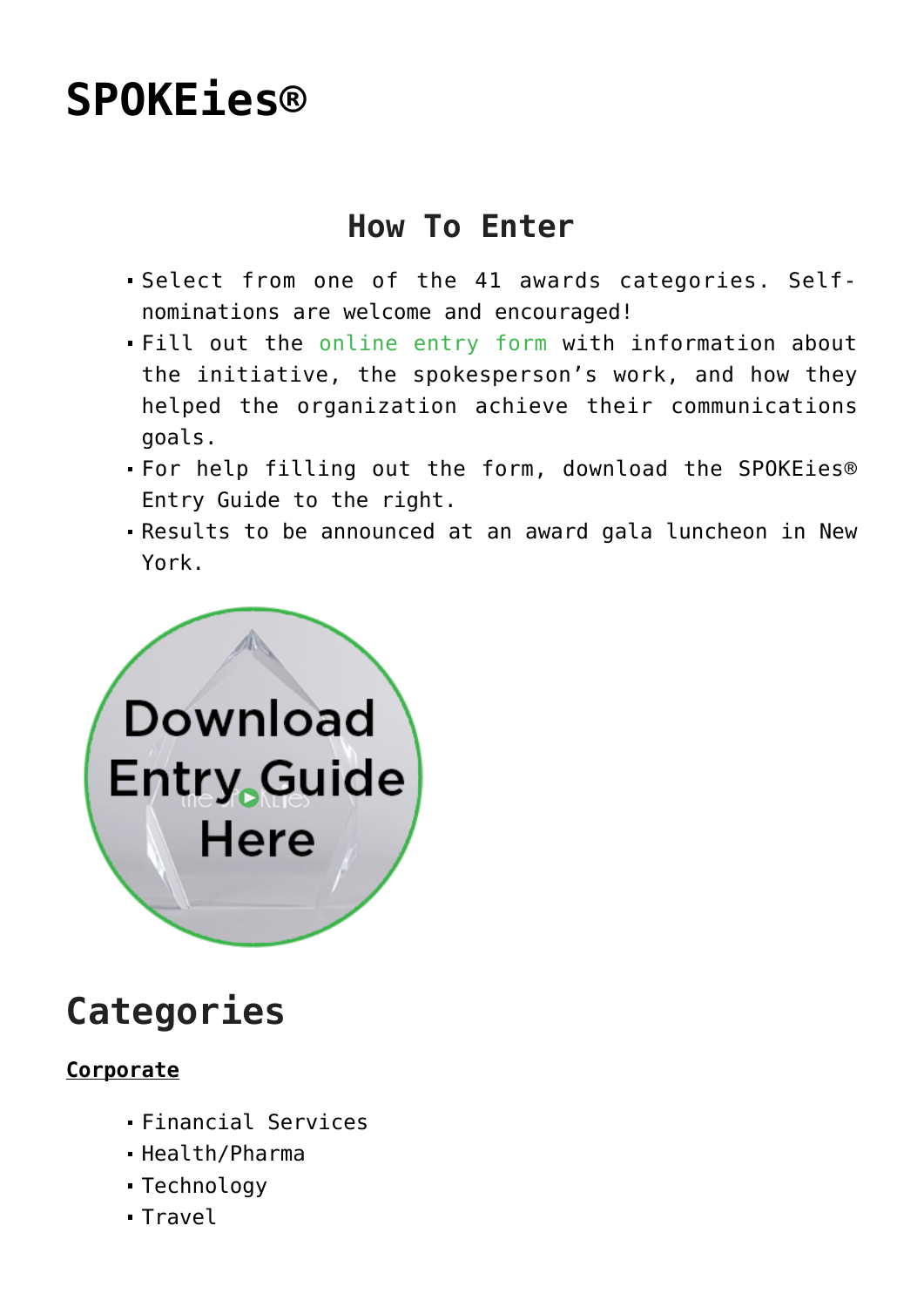# **[SPOKEies®](https://www.commpro.biz/spokeies/)**

### **How To Enter**

- Select from one of the 41 awards categories. Selfnominations are welcome and encouraged!
- Fill out the [online entry form](https://www.dssimon.com/entry-form) with information about the initiative, the spokesperson's work, and how they helped the organization achieve their communications goals.
- For help filling out the form, download the SPOKEies® Entry Guide to the right.
- Results to be announced at an award gala luncheon in New York.



## **Categories**

#### **Corporate**

- Financial Services
- Health/Pharma
- Technology
- Travel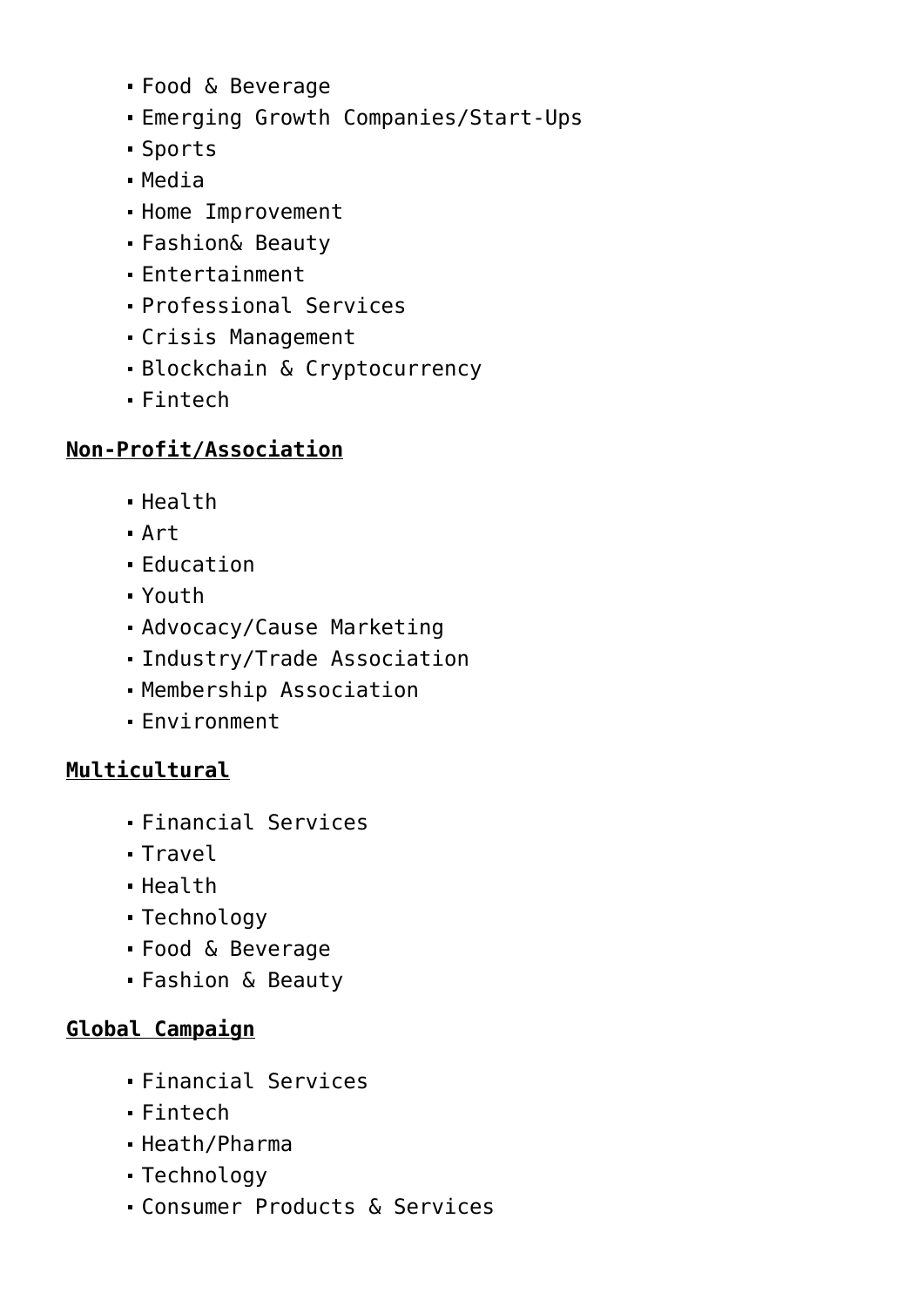- Food & Beverage
- Emerging Growth Companies/Start-Ups
- Sports
- Media
- Home Improvement
- Fashion& Beauty
- Entertainment
- Professional Services
- Crisis Management
- Blockchain & Cryptocurrency
- Fintech

### **Non-Profit/Association**

- Health
- Art
- Education
- Youth
- Advocacy/Cause Marketing
- Industry/Trade Association
- Membership Association
- Environment

### **Multicultural**

- Financial Services
- Travel
- Health
- Technology
- Food & Beverage
- Fashion & Beauty

### **Global Campaign**

- Financial Services
- Fintech
- Heath/Pharma
- Technology
- Consumer Products & Services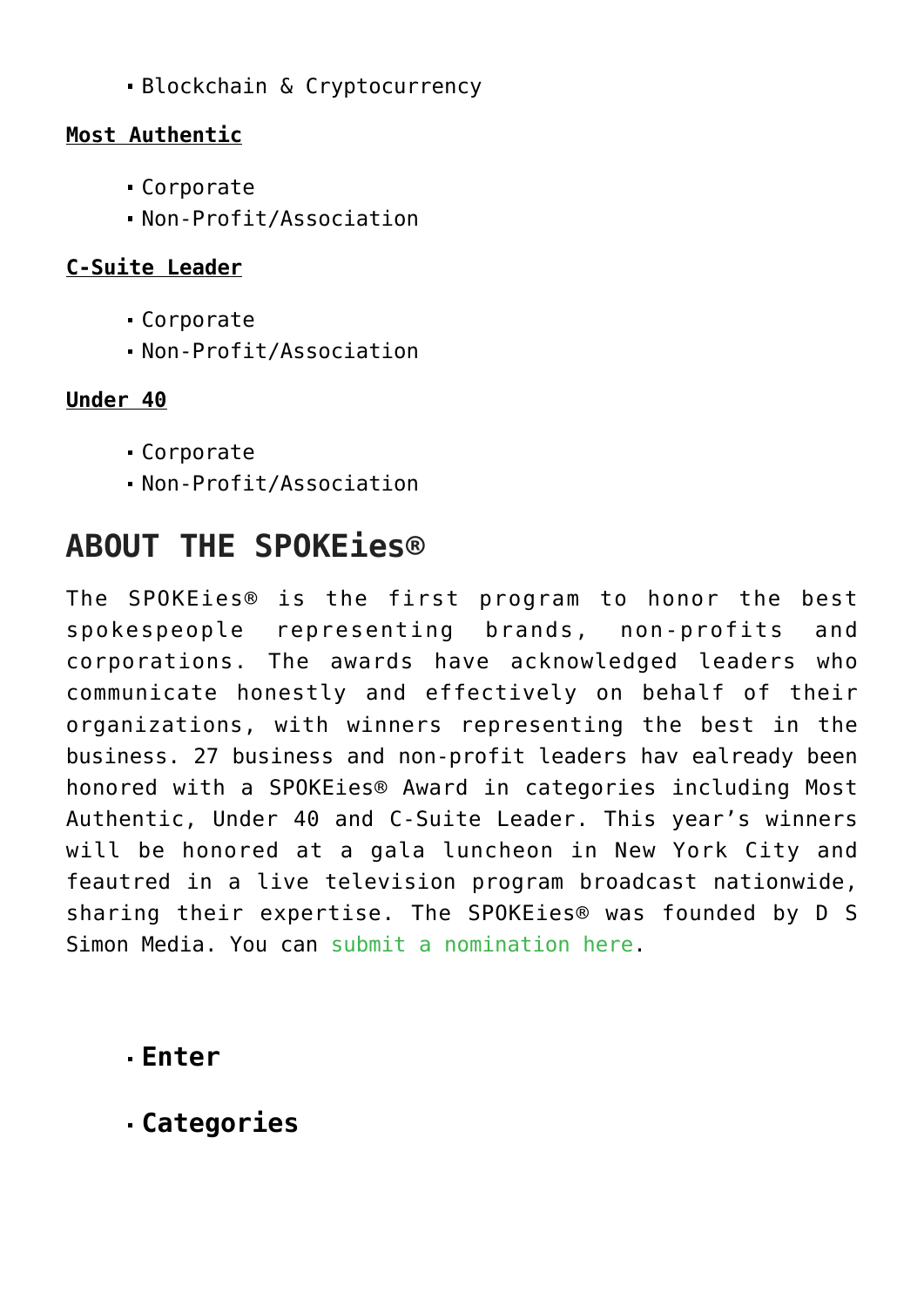Blockchain & Cryptocurrency

#### **Most Authentic**

- Corporate
- Non-Profit/Association

### **C-Suite Leader**

- Corporate
- Non-Profit/Association

### **Under 40**

- Corporate
- Non-Profit/Association

### **ABOUT THE SPOKEies®**

The SPOKEies® is the first program to honor the best spokespeople representing brands, non-profits and corporations. The awards have acknowledged leaders who communicate honestly and effectively on behalf of their organizations, with winners representing the best in the business. 27 business and non-profit leaders hav ealready been honored with a SPOKEies® Award in categories including Most Authentic, Under 40 and C-Suite Leader. This year's winners will be honored at a gala luncheon in New York City and feautred in a live television program broadcast nationwide, sharing their expertise. The SPOKEies® was founded by D S Simon Media. You can [submit a nomination here](https://www.dssimon.com/entry-form).

### **[Enter](https://www.commpro.biz/javascript:void(0);)**

**[Categories](https://www.commpro.biz/javascript:void(0);)**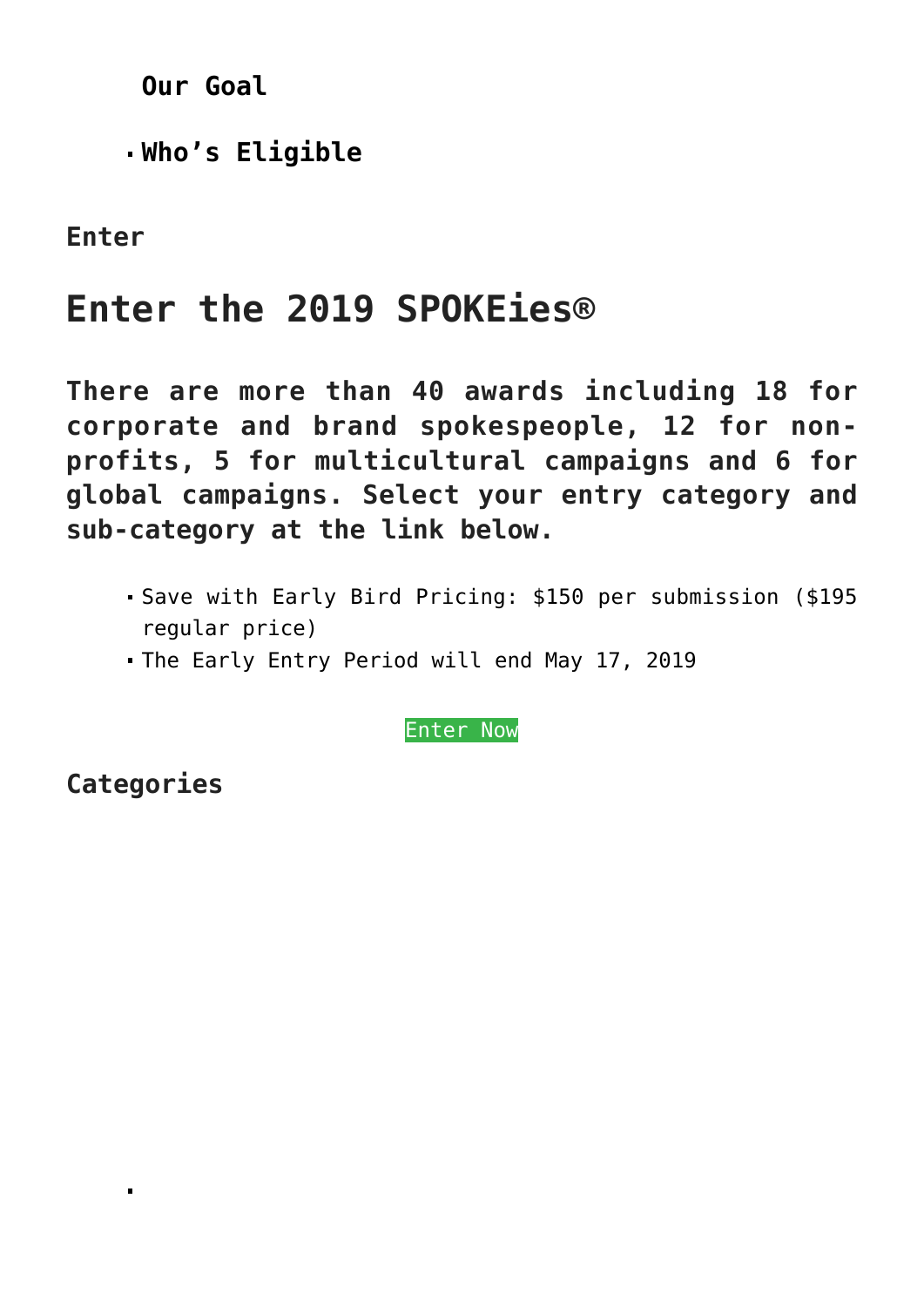**[Our Goal](https://www.commpro.biz/javascript:void(0);)**

**[Who's Eligible](https://www.commpro.biz/javascript:void(0);)**

**Enter**

### **Enter the 2019 SPOKEies®**

**There are more than 40 awards including 18 for corporate and brand spokespeople, 12 for nonprofits, 5 for multicultural campaigns and 6 for global campaigns. Select your entry category and sub-category at the link below.**

- Save with Early Bird Pricing: \$150 per submission (\$195 regular price)
- The Early Entry Period will end May 17, 2019

[Enter Now](https://www.dssimon.com/entry-form/)

**Categories**

 $\blacksquare$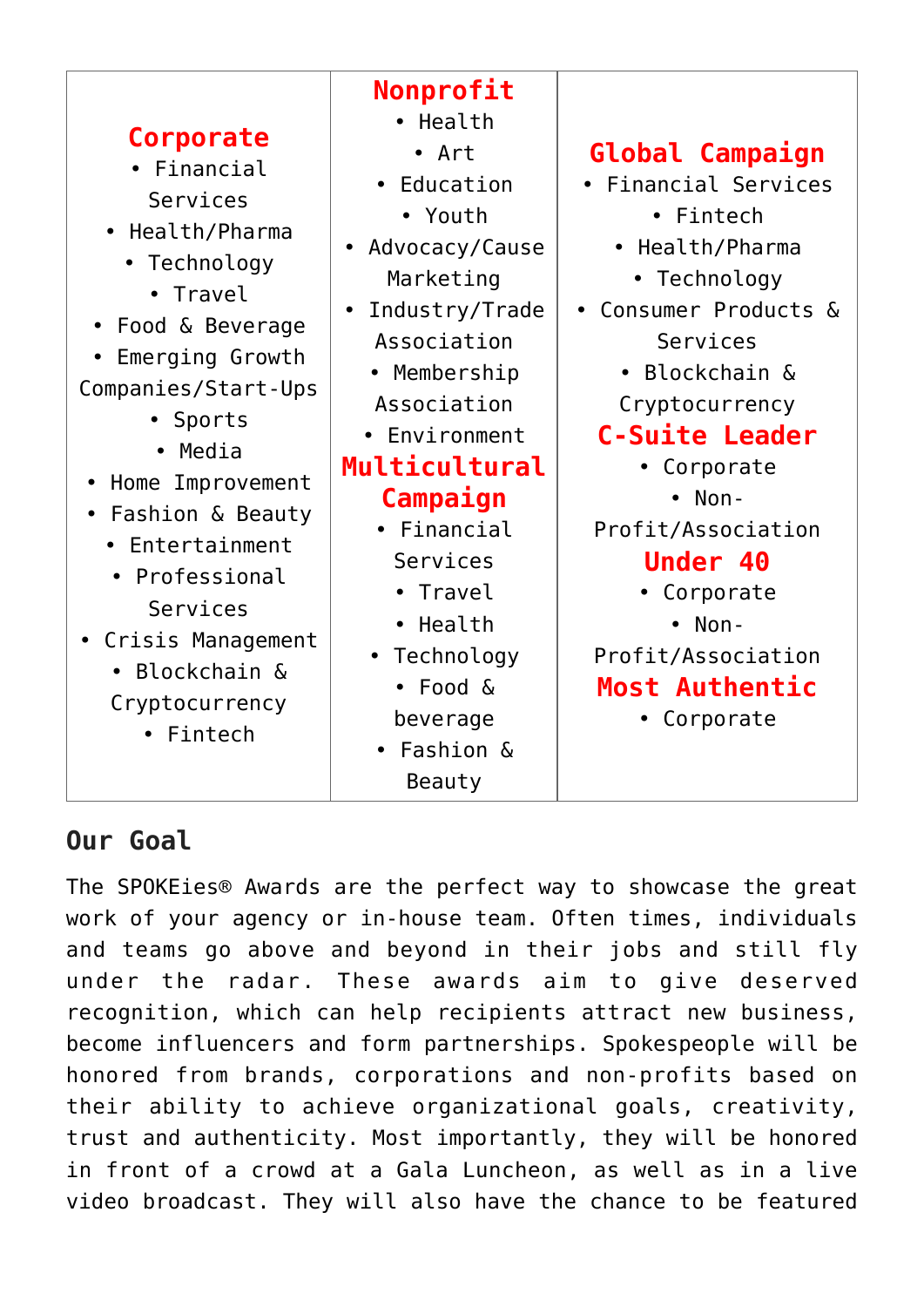|                     | Nonprofit        |                        |
|---------------------|------------------|------------------------|
| Corporate           | • Health         |                        |
|                     | • Art            | <b>Global Campaign</b> |
| • Financial         | • Education      | • Financial Services   |
| Services            | • Youth          | • Fintech              |
| • Health/Pharma     |                  |                        |
| • Technology        | • Advocacy/Cause | • Health/Pharma        |
| • Travel            | Marketing        | • Technology           |
| • Food & Beverage   | Industry/Trade   | Consumer Products &    |
|                     | Association      | Services               |
| Emerging Growth     | • Membership     | • Blockchain &         |
| Companies/Start-Ups | Association      | Cryptocurrency         |
| • Sports            | • Environment    | <b>C-Suite Leader</b>  |
| • Media             | Multicultural    |                        |
| Home Improvement    |                  | • Corporate            |
| Fashion & Beauty    | Campaign         | $\bullet$ Non-         |
| • Entertainment     | • Financial      | Profit/Association     |
|                     | Services         | <b>Under 40</b>        |
| • Professional      | Travel           | Corporate              |
| Services            | • Health         | $\bullet$ Non-         |
| • Crisis Management | • Technology     | Profit/Association     |
| • Blockchain &      | • Food &         | <b>Most Authentic</b>  |
| Cryptocurrency      | beverage         | Corporate              |
| • Fintech           | • Fashion &      |                        |
|                     | Beauty           |                        |

### **Our Goal**

The SPOKEies® Awards are the perfect way to showcase the great work of your agency or in-house team. Often times, individuals and teams go above and beyond in their jobs and still fly under the radar. These awards aim to give deserved recognition, which can help recipients attract new business, become influencers and form partnerships. Spokespeople will be honored from brands, corporations and non-profits based on their ability to achieve organizational goals, creativity, trust and authenticity. Most importantly, they will be honored in front of a crowd at a Gala Luncheon, as well as in a live video broadcast. They will also have the chance to be featured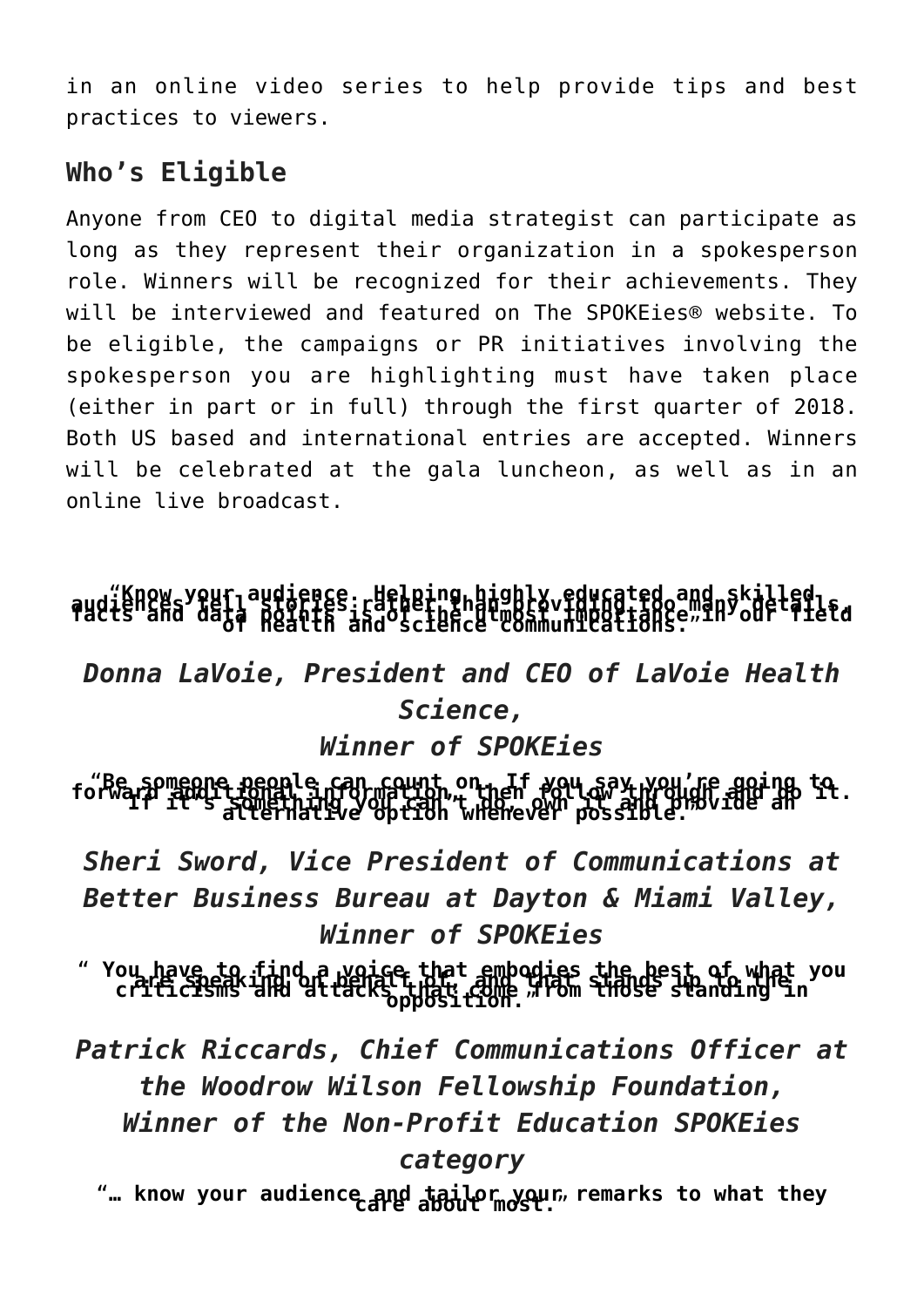in an online video series to help provide tips and best practices to viewers.

### **Who's Eligible**

Anyone from CEO to digital media strategist can participate as long as they represent their organization in a spokesperson role. Winners will be recognized for their achievements. They will be interviewed and featured on The SPOKEies® website. To be eligible, the campaigns or PR initiatives involving the spokesperson you are highlighting must have taken place (either in part or in full) through the first quarter of 2018. Both US based and international entries are accepted. Winners will be celebrated at the gala luncheon, as well as in an online live broadcast.

# audiknow sypuriaudience: Helping bighly educated and skilled<br>Pudts and data nointes: rand science communications: "In our fietd

### *Donna LaVoie, President and CEO of LaVoie Health Science,*

### *Winner of SPOKEies*

forward it someone people can count on. If you say you're going to.<br>forward it is somethingly of the whenever possible.

*Sheri Sword, Vice President of Communications at Better Business Bureau at Dayton & Miami Valley, Winner of SPOKEies*

" **You have to find a voice that embodies the best of what you are speaking on behalf of, and that stands up to the criticisms and attacks that come from those standing in opposition.**"

*Patrick Riccards, Chief Communications Officer at the Woodrow Wilson Fellowship Foundation, Winner of the Non-Profit Education SPOKEies category*

"... know your audience and tailor your, remarks to what they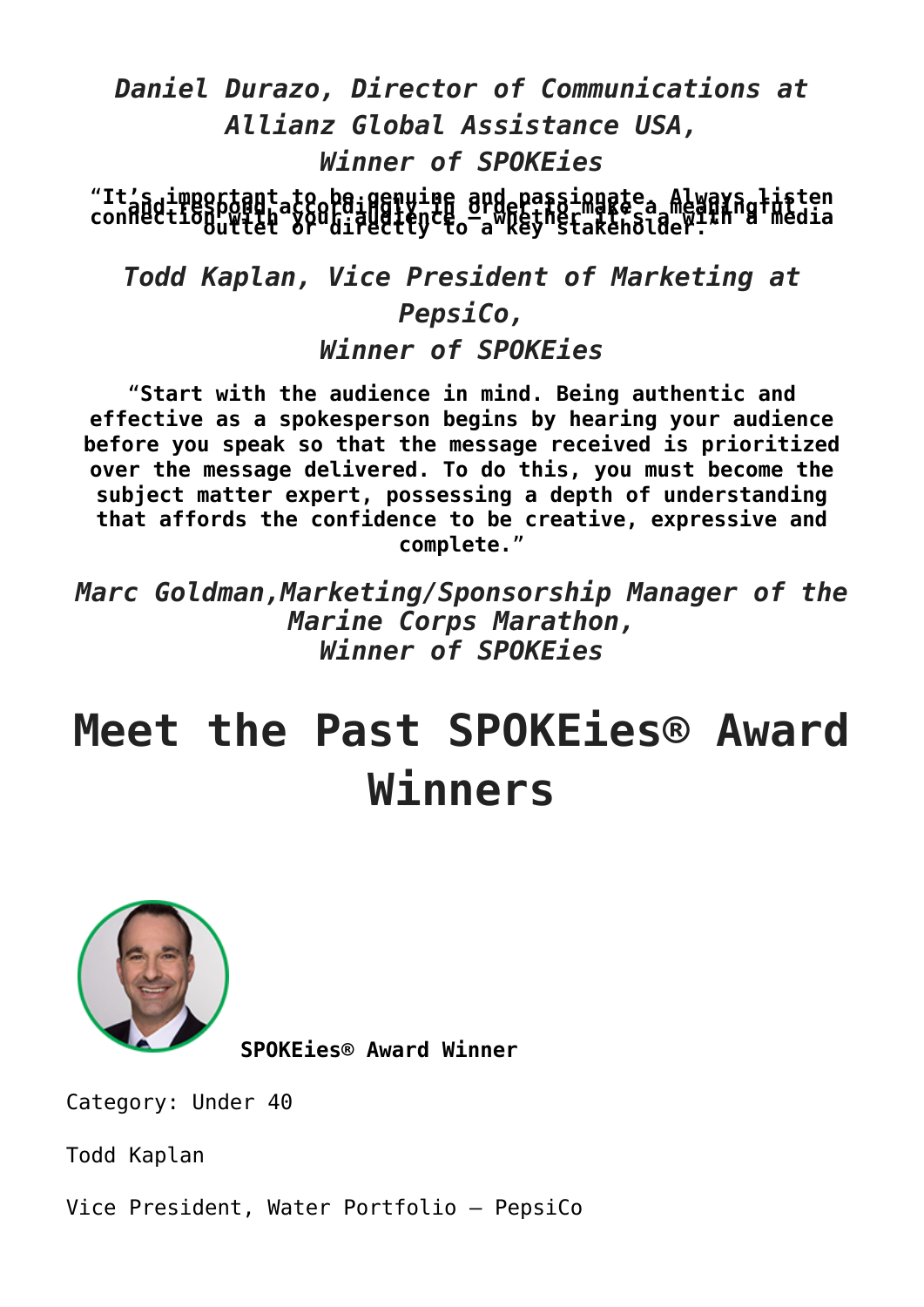### *Daniel Durazo, Director of Communications at Allianz Global Assistance USA, Winner of SPOKEies*

"It's important to be genuine and passionate. Always listen<br>connection witet or directly to a key stakeholder: "

*Todd Kaplan, Vice President of Marketing at PepsiCo,*

*Winner of SPOKEies*

"**Start with the audience in mind. Being authentic and effective as a spokesperson begins by hearing your audience before you speak so that the message received is prioritized over the message delivered. To do this, you must become the subject matter expert, possessing a depth of understanding that affords the confidence to be creative, expressive and complete.**"

*Marc Goldman,Marketing/Sponsorship Manager of the Marine Corps Marathon, Winner of SPOKEies*

# **Meet the Past SPOKEies® Award Winners**



**SPOKEies® Award Winner**

Category: Under 40

Todd Kaplan

Vice President, Water Portfolio – PepsiCo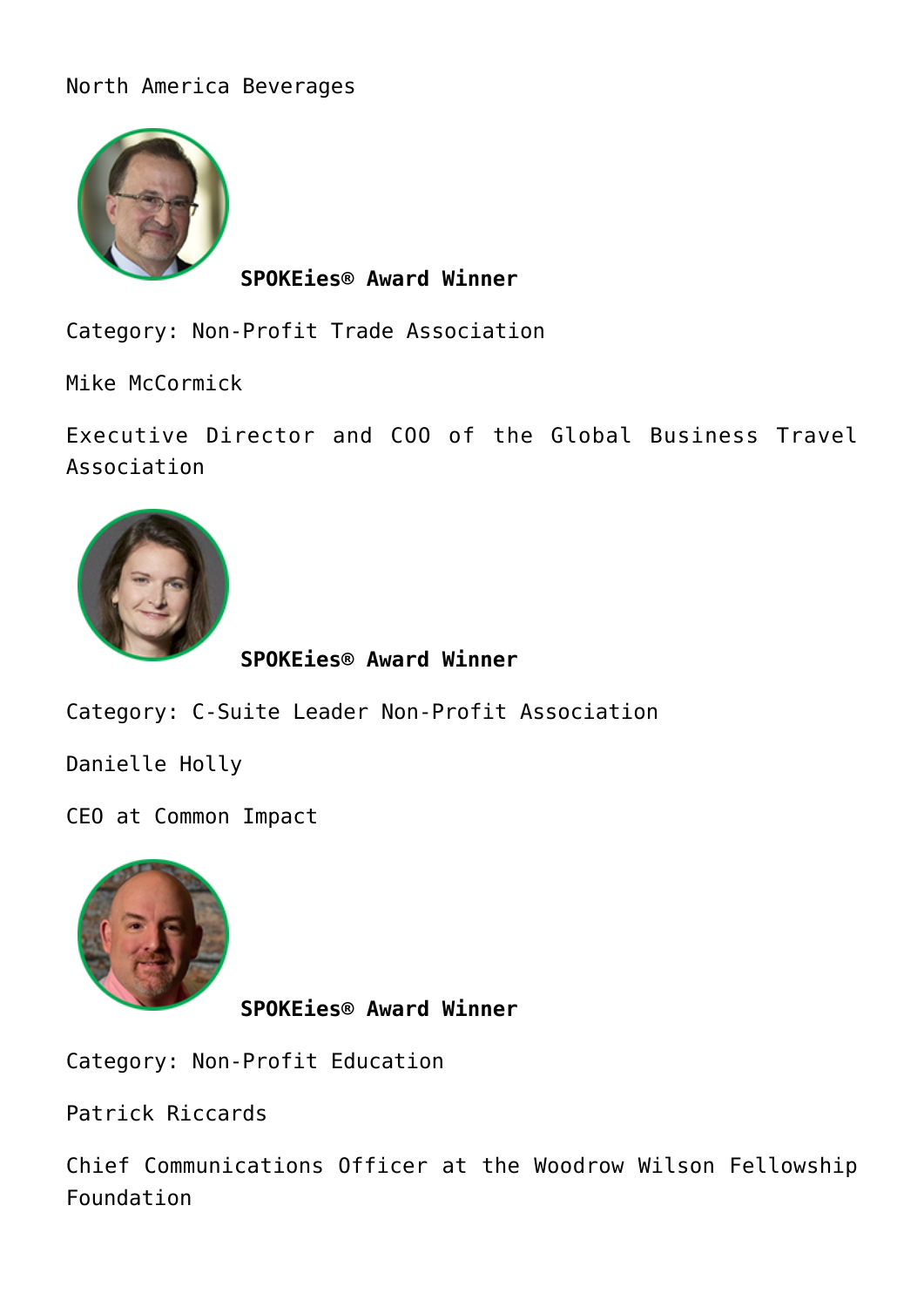#### North America Beverages



**SPOKEies® Award Winner**

Category: Non-Profit Trade Association

Mike McCormick

Executive Director and COO of the Global Business Travel Association



**SPOKEies® Award Winner**

Category: C-Suite Leader Non-Profit Association

Danielle Holly

CEO at Common Impact



**SPOKEies® Award Winner**

Category: Non-Profit Education

Patrick Riccards

Chief Communications Officer at the Woodrow Wilson Fellowship Foundation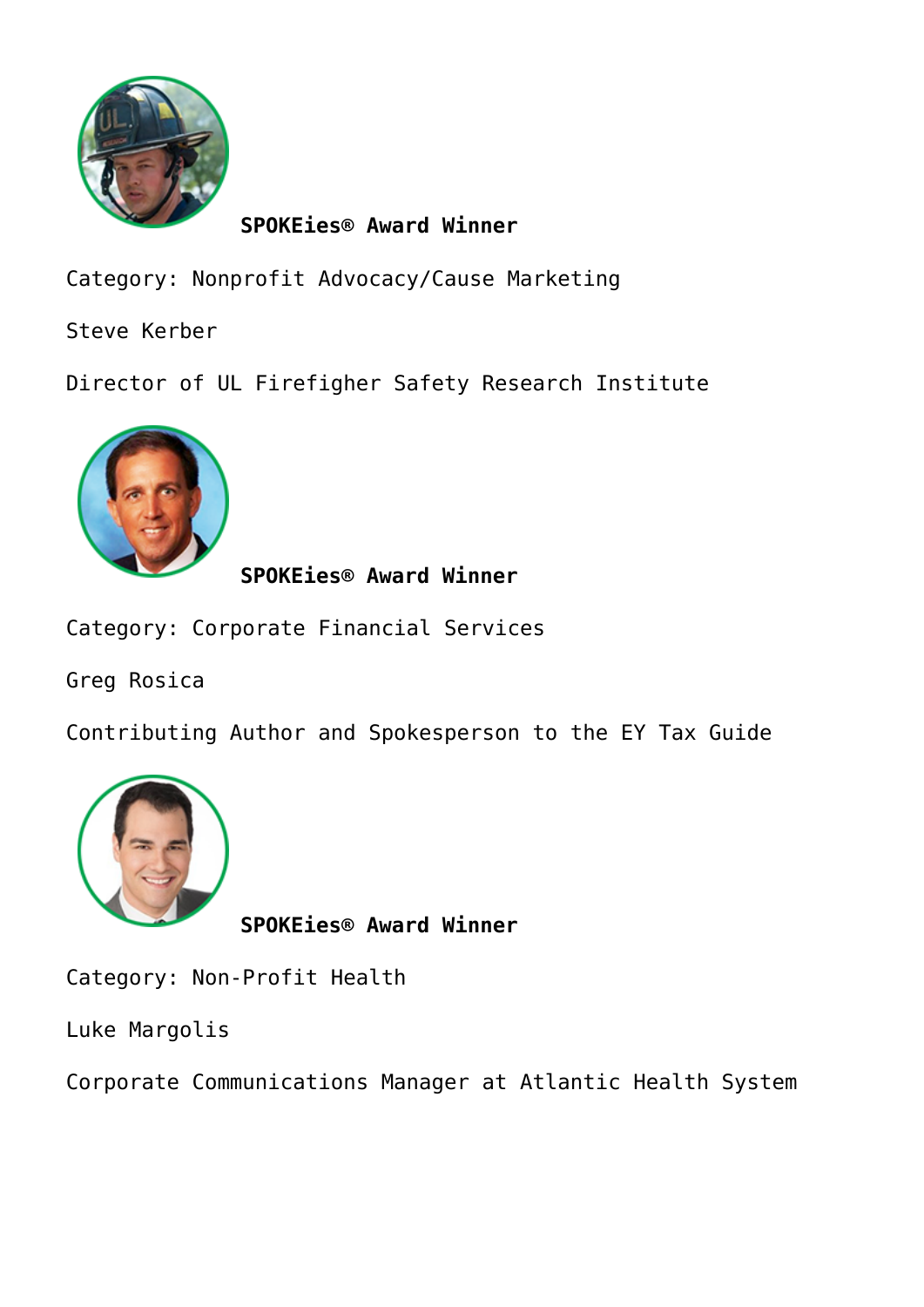

Category: Nonprofit Advocacy/Cause Marketing

Steve Kerber

Director of UL Firefigher Safety Research Institute



**SPOKEies® Award Winner**

Category: Corporate Financial Services

Greg Rosica

Contributing Author and Spokesperson to the EY Tax Guide



**SPOKEies® Award Winner**

Category: Non-Profit Health

Luke Margolis

Corporate Communications Manager at Atlantic Health System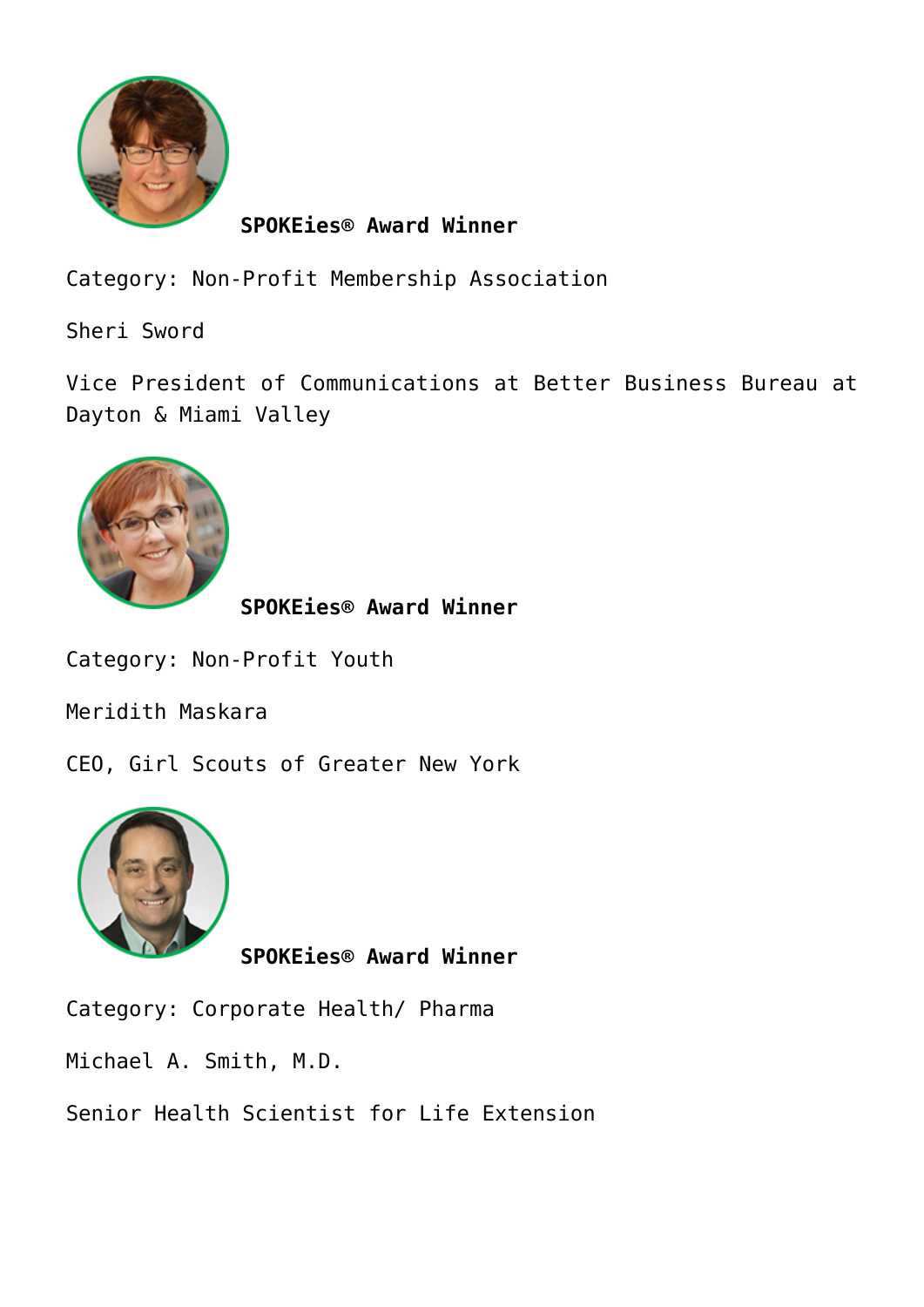

Category: Non-Profit Membership Association

Sheri Sword

Vice President of Communications at Better Business Bureau at Dayton & Miami Valley



**SPOKEies® Award Winner**

Category: Non-Profit Youth

Meridith Maskara

CEO, Girl Scouts of Greater New York



**SPOKEies® Award Winner**

Category: Corporate Health/ Pharma

Michael A. Smith, M.D.

Senior Health Scientist for Life Extension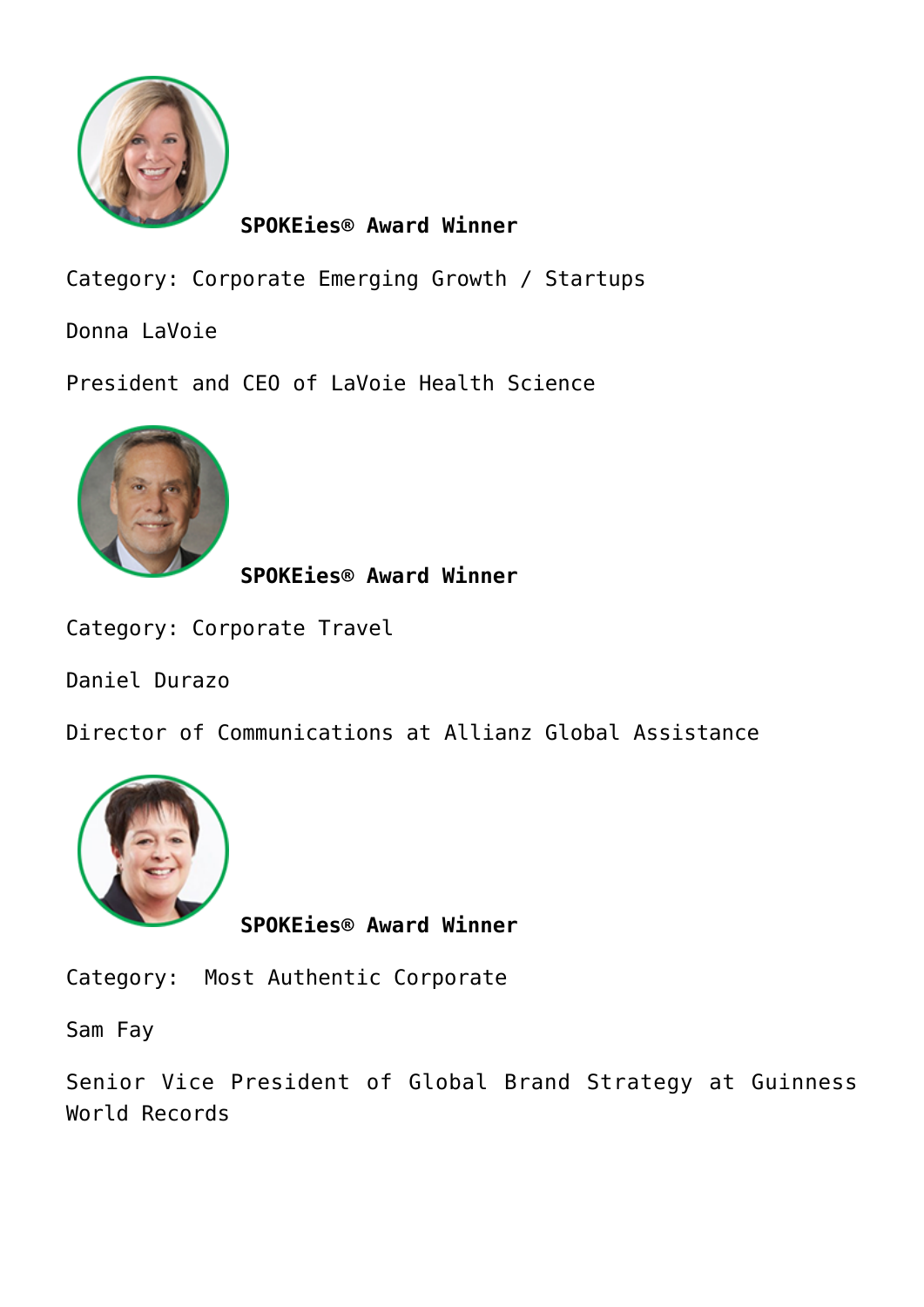

Category: Corporate Emerging Growth / Startups

Donna LaVoie

President and CEO of LaVoie Health Science



**SPOKEies® Award Winner**

Category: Corporate Travel

Daniel Durazo

Director of Communications at Allianz Global Assistance



**SPOKEies® Award Winner**

Category: Most Authentic Corporate

Sam Fay

Senior Vice President of Global Brand Strategy at Guinness World Records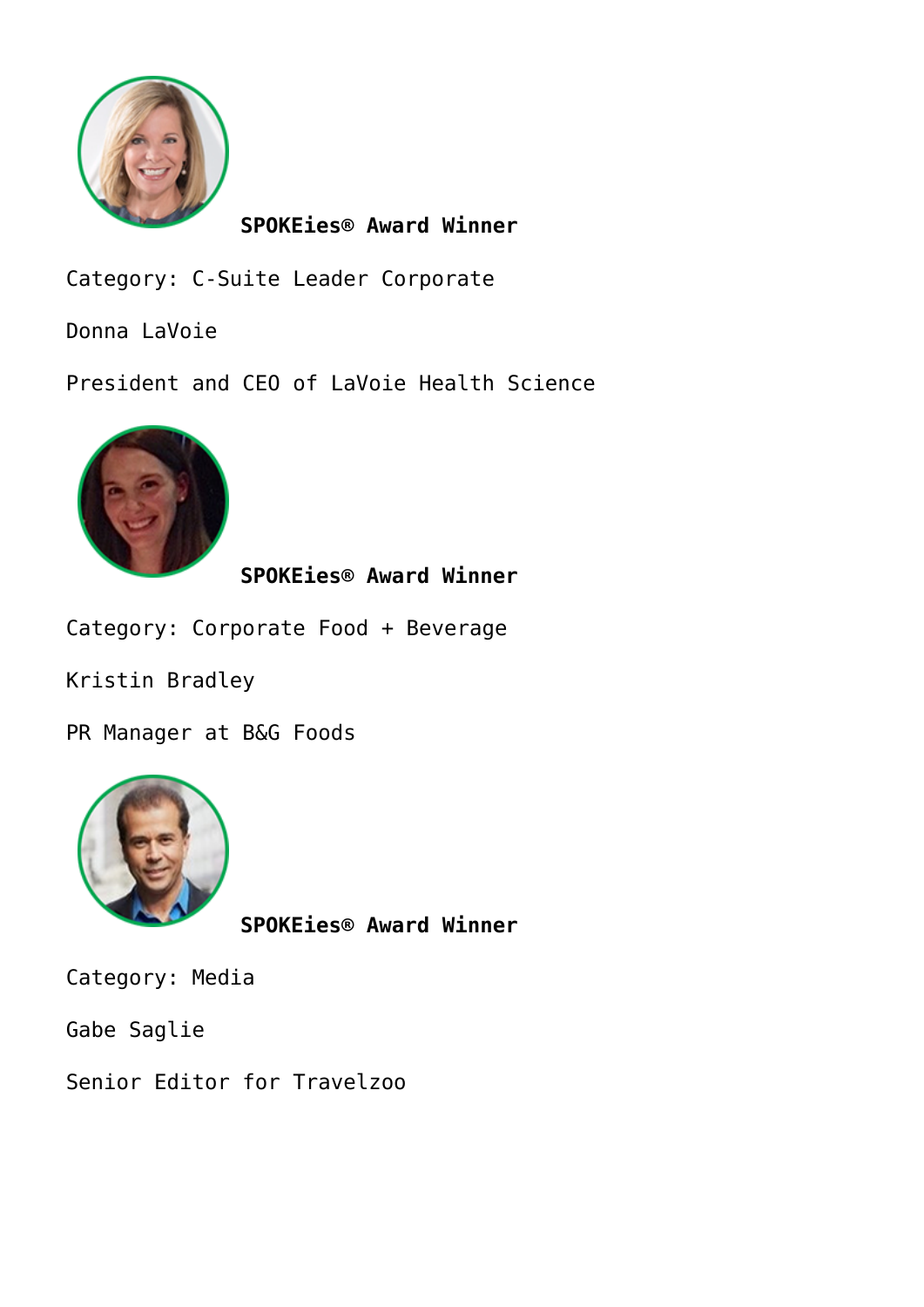

Category: C-Suite Leader Corporate

Donna LaVoie

President and CEO of LaVoie Health Science



**SPOKEies® Award Winner**

Category: Corporate Food + Beverage

Kristin Bradley

PR Manager at B&G Foods



**SPOKEies® Award Winner**

Category: Media

Gabe Saglie

Senior Editor for Travelzoo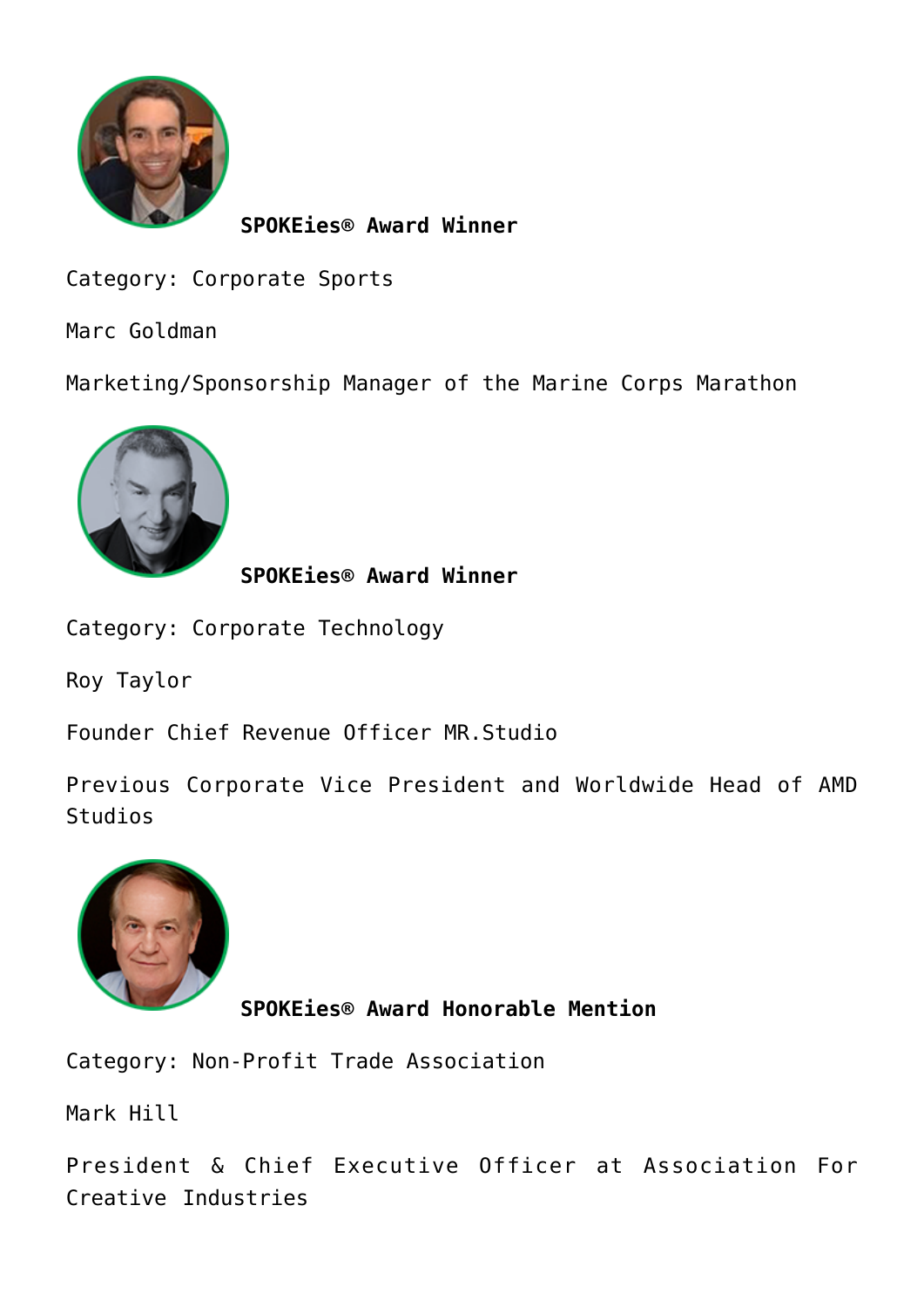

Category: Corporate Sports

Marc Goldman

Marketing/Sponsorship Manager of the Marine Corps Marathon



**SPOKEies® Award Winner**

Category: Corporate Technology

Roy Taylor

Founder Chief Revenue Officer MR.Studio

Previous Corporate Vice President and Worldwide Head of AMD Studios



**SPOKEies® Award Honorable Mention**

Category: Non-Profit Trade Association

Mark Hill

President & Chief Executive Officer at Association For Creative Industries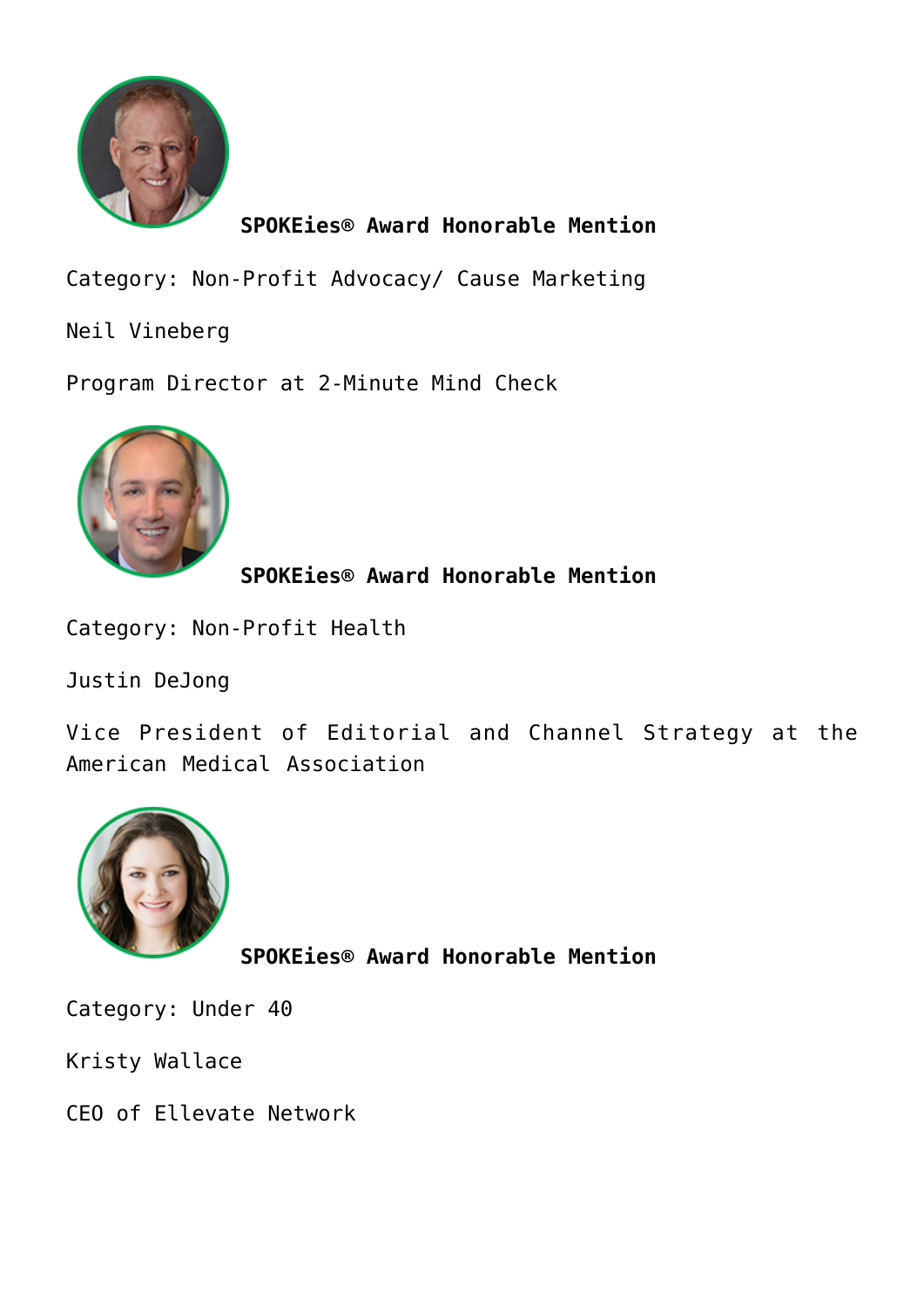

**SPOKEies® Award Honorable Mention**

Category: Non-Profit Advocacy/ Cause Marketing

Neil Vineberg

Program Director at 2-Minute Mind Check



**SPOKEies® Award Honorable Mention**

Category: Non-Profit Health

Justin DeJong

Vice President of Editorial and Channel Strategy at the American Medical Association



**SPOKEies® Award Honorable Mention**

Category: Under 40

Kristy Wallace

CEO of Ellevate Network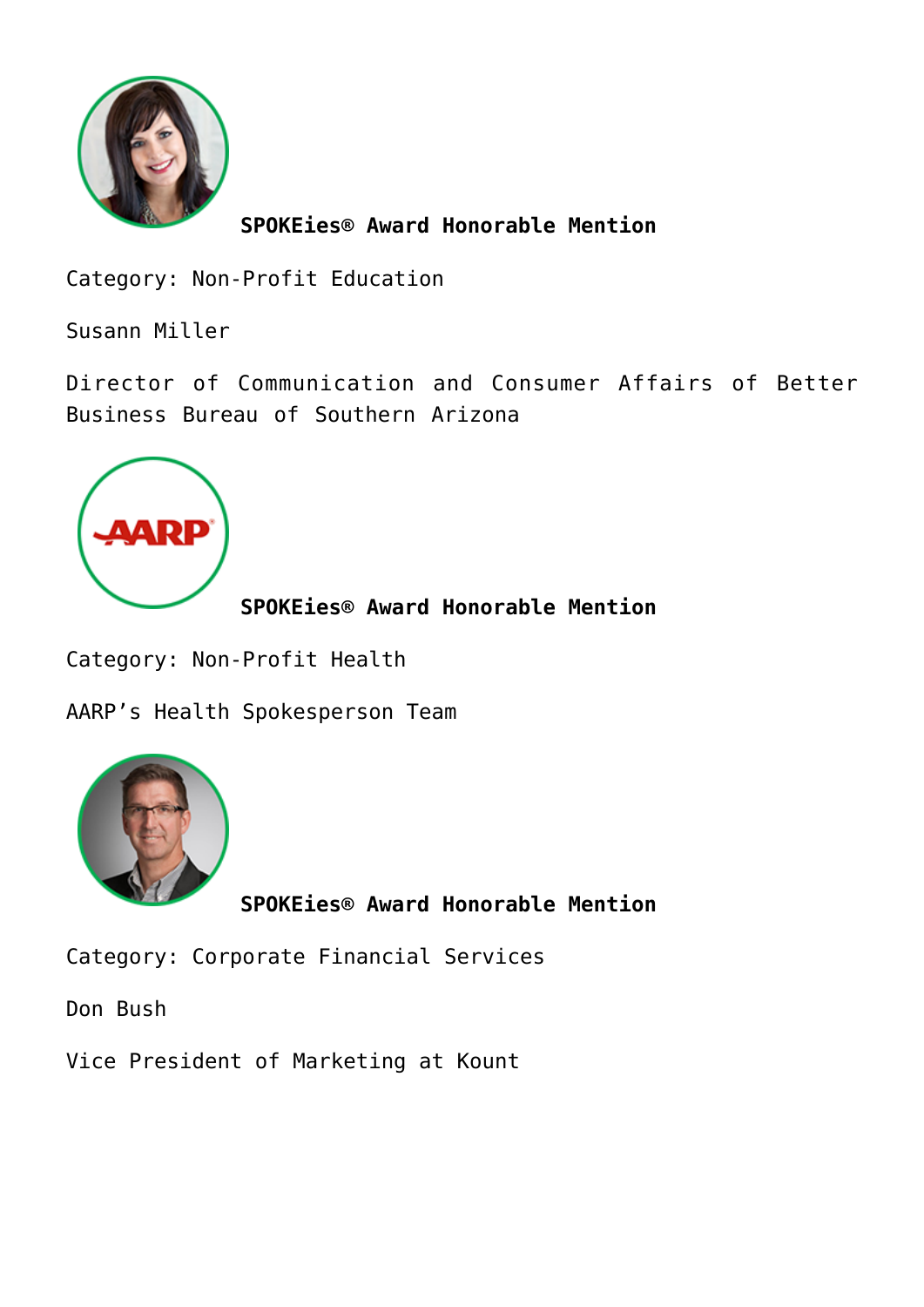

**SPOKEies® Award Honorable Mention**

Category: Non-Profit Education

Susann Miller

Director of Communication and Consumer Affairs of Better Business Bureau of Southern Arizona



**SPOKEies® Award Honorable Mention**

Category: Non-Profit Health

AARP's Health Spokesperson Team



**SPOKEies® Award Honorable Mention**

Category: Corporate Financial Services

Don Bush

Vice President of Marketing at Kount